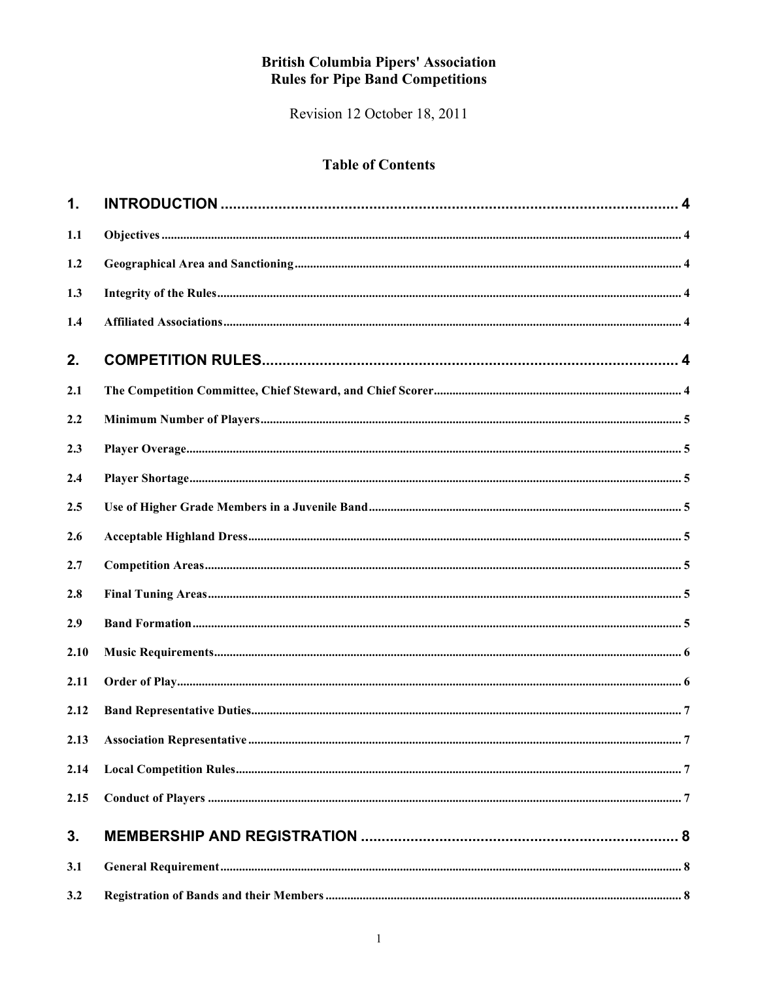# **British Columbia Pipers' Association<br>Rules for Pipe Band Competitions**

Revision 12 October 18, 2011

# **Table of Contents**

| 1.   |  |
|------|--|
| 1.1  |  |
| 1.2  |  |
| 1.3  |  |
| 1.4  |  |
| 2.   |  |
| 2.1  |  |
| 2.2  |  |
| 2.3  |  |
| 2.4  |  |
| 2.5  |  |
| 2.6  |  |
| 2.7  |  |
| 2.8  |  |
| 2.9  |  |
| 2.10 |  |
| 2.11 |  |
| 2.12 |  |
| 2.13 |  |
| 2.14 |  |
| 2.15 |  |
| 3.   |  |
| 3.1  |  |
| 3.2  |  |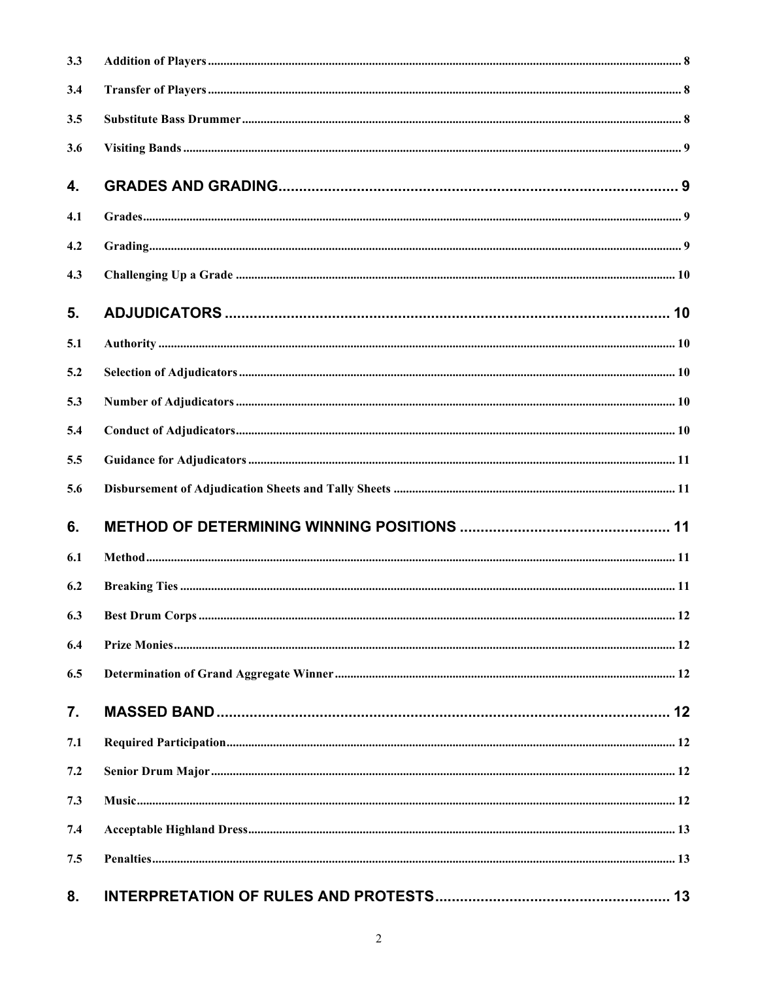| 3.3 |  |
|-----|--|
| 3.4 |  |
| 3.5 |  |
| 3.6 |  |
| 4.  |  |
| 4.1 |  |
| 4.2 |  |
| 4.3 |  |
| 5.  |  |
| 5.1 |  |
| 5.2 |  |
| 5.3 |  |
| 5.4 |  |
| 5.5 |  |
| 5.6 |  |
| 6.  |  |
| 6.1 |  |
| 6.2 |  |
| 6.3 |  |
| 6.4 |  |
| 6.5 |  |
| 7.  |  |
| 7.1 |  |
| 7.2 |  |
| 7.3 |  |
| 7.4 |  |
| 7.5 |  |
| 8.  |  |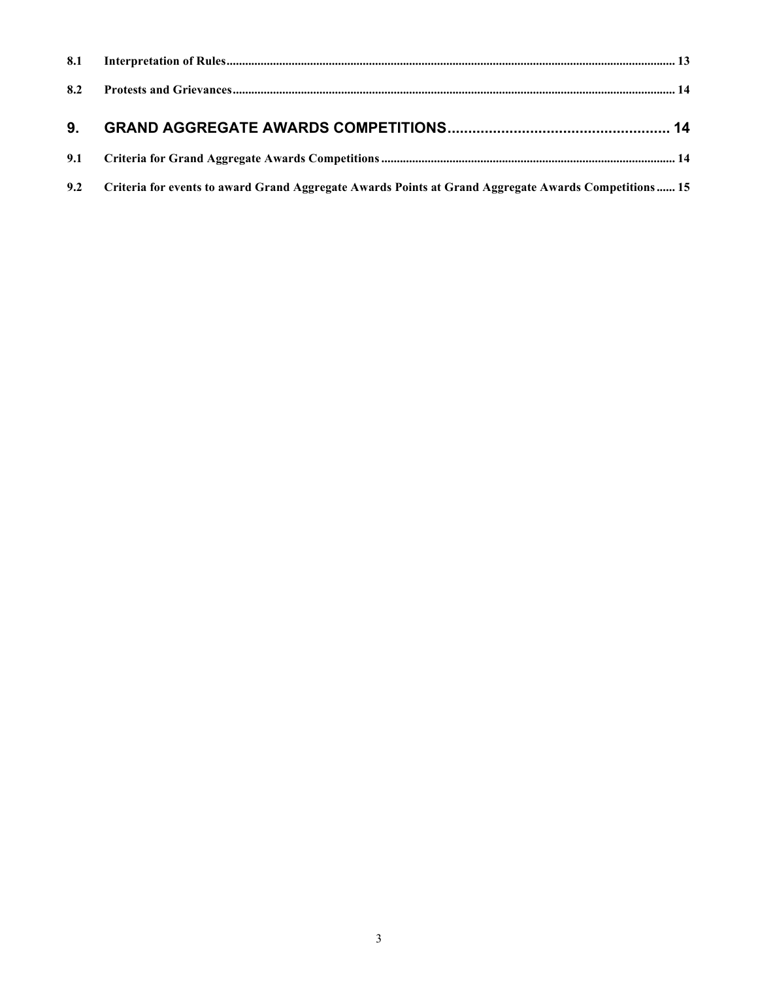| 8.2 |                                                                                                          |  |
|-----|----------------------------------------------------------------------------------------------------------|--|
| 9.  |                                                                                                          |  |
|     |                                                                                                          |  |
|     | 9.2 Criteria for events to award Grand Aggregate Awards Points at Grand Aggregate Awards Competitions 15 |  |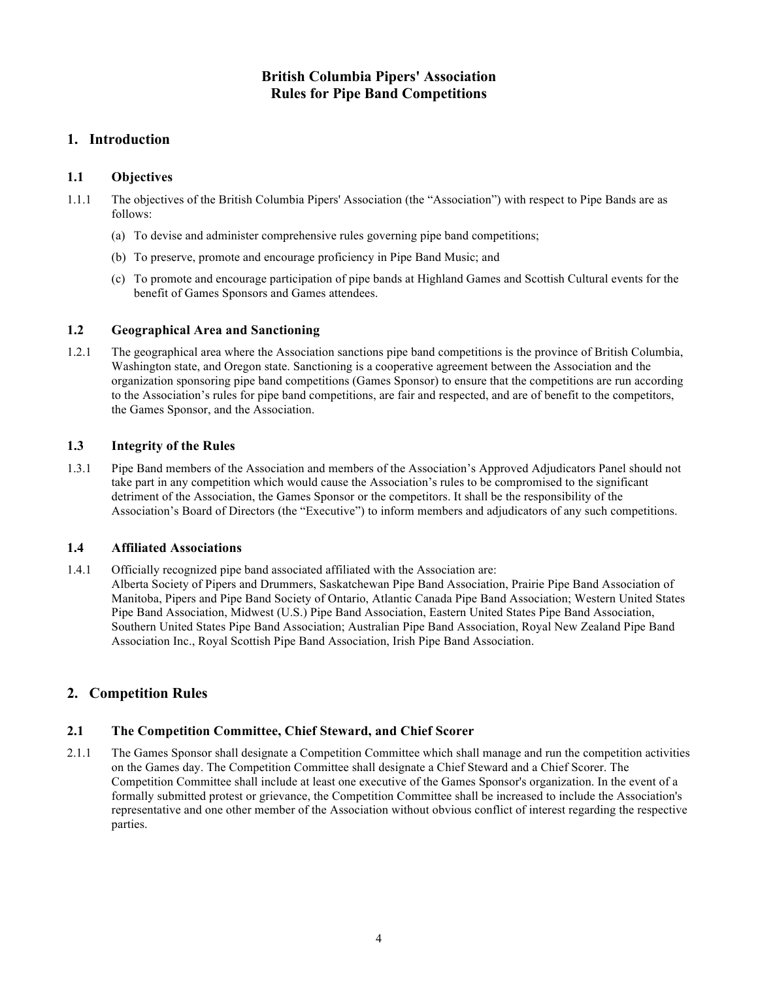# **British Columbia Pipers' Association Rules for Pipe Band Competitions**

# **1. Introduction**

# **1.1 Objectives**

- 1.1.1 The objectives of the British Columbia Pipers' Association (the "Association") with respect to Pipe Bands are as follows:
	- (a) To devise and administer comprehensive rules governing pipe band competitions;
	- (b) To preserve, promote and encourage proficiency in Pipe Band Music; and
	- (c) To promote and encourage participation of pipe bands at Highland Games and Scottish Cultural events for the benefit of Games Sponsors and Games attendees.

# **1.2 Geographical Area and Sanctioning**

1.2.1 The geographical area where the Association sanctions pipe band competitions is the province of British Columbia, Washington state, and Oregon state. Sanctioning is a cooperative agreement between the Association and the organization sponsoring pipe band competitions (Games Sponsor) to ensure that the competitions are run according to the Association's rules for pipe band competitions, are fair and respected, and are of benefit to the competitors, the Games Sponsor, and the Association.

# **1.3 Integrity of the Rules**

1.3.1 Pipe Band members of the Association and members of the Association's Approved Adjudicators Panel should not take part in any competition which would cause the Association's rules to be compromised to the significant detriment of the Association, the Games Sponsor or the competitors. It shall be the responsibility of the Association's Board of Directors (the "Executive") to inform members and adjudicators of any such competitions.

# **1.4 Affiliated Associations**

1.4.1 Officially recognized pipe band associated affiliated with the Association are: Alberta Society of Pipers and Drummers, Saskatchewan Pipe Band Association, Prairie Pipe Band Association of Manitoba, Pipers and Pipe Band Society of Ontario, Atlantic Canada Pipe Band Association; Western United States Pipe Band Association, Midwest (U.S.) Pipe Band Association, Eastern United States Pipe Band Association, Southern United States Pipe Band Association; Australian Pipe Band Association, Royal New Zealand Pipe Band Association Inc., Royal Scottish Pipe Band Association, Irish Pipe Band Association.

# **2. Competition Rules**

# **2.1 The Competition Committee, Chief Steward, and Chief Scorer**

2.1.1 The Games Sponsor shall designate a Competition Committee which shall manage and run the competition activities on the Games day. The Competition Committee shall designate a Chief Steward and a Chief Scorer. The Competition Committee shall include at least one executive of the Games Sponsor's organization. In the event of a formally submitted protest or grievance, the Competition Committee shall be increased to include the Association's representative and one other member of the Association without obvious conflict of interest regarding the respective parties.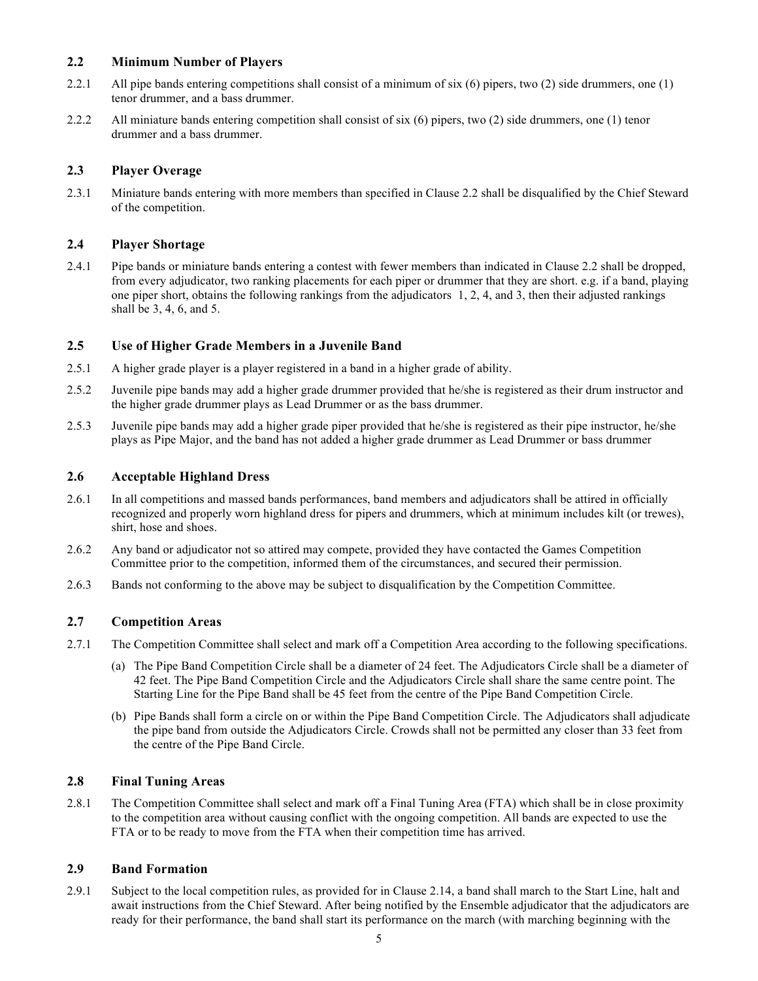#### **2.2 Minimum Number of Players**

- 2.2.1 All pipe bands entering competitions shall consist of a minimum of six  $(6)$  pipers, two  $(2)$  side drummers, one  $(1)$ tenor drummer, and a bass drummer.
- 2.2.2 All miniature bands entering competition shall consist of six (6) pipers, two (2) side drummers, one (1) tenor drummer and a bass drummer.

#### **2.3 Player Overage**

2.3.1 Miniature bands entering with more members than specified in Clause 2.2 shall be disqualified by the Chief Steward of the competition.

#### **2.4 Player Shortage**

2.4.1 Pipe bands or miniature bands entering a contest with fewer members than indicated in Clause 2.2 shall be dropped, from every adjudicator, two ranking placements for each piper or drummer that they are short. e.g. if a band, playing one piper short, obtains the following rankings from the adjudicators 1, 2, 4, and 3, then their adjusted rankings shall be 3, 4, 6, and 5.

#### **2.5 Use of Higher Grade Members in a Juvenile Band**

- 2.5.1 A higher grade player is a player registered in a band in a higher grade of ability.
- 2.5.2 Juvenile pipe bands may add a higher grade drummer provided that he/she is registered as their drum instructor and the higher grade drummer plays as Lead Drummer or as the bass drummer.
- 2.5.3 Juvenile pipe bands may add a higher grade piper provided that he/she is registered as their pipe instructor, he/she plays as Pipe Major, and the band has not added a higher grade drummer as Lead Drummer or bass drummer

#### **2.6 Acceptable Highland Dress**

- 2.6.1 In all competitions and massed bands performances, band members and adjudicators shall be attired in officially recognized and properly worn highland dress for pipers and drummers, which at minimum includes kilt (or trewes), shirt, hose and shoes.
- 2.6.2 Any band or adjudicator not so attired may compete, provided they have contacted the Games Competition Committee prior to the competition, informed them of the circumstances, and secured their permission.
- 2.6.3 Bands not conforming to the above may be subject to disqualification by the Competition Committee.

#### **2.7 Competition Areas**

- 2.7.1 The Competition Committee shall select and mark off a Competition Area according to the following specifications.
	- (a) The Pipe Band Competition Circle shall be a diameter of 24 feet. The Adjudicators Circle shall be a diameter of 42 feet. The Pipe Band Competition Circle and the Adjudicators Circle shall share the same centre point. The Starting Line for the Pipe Band shall be 45 feet from the centre of the Pipe Band Competition Circle.
	- (b) Pipe Bands shall form a circle on or within the Pipe Band Competition Circle. The Adjudicators shall adjudicate the pipe band from outside the Adjudicators Circle. Crowds shall not be permitted any closer than 33 feet from the centre of the Pipe Band Circle.

#### **2.8 Final Tuning Areas**

2.8.1 The Competition Committee shall select and mark off a Final Tuning Area (FTA) which shall be in close proximity to the competition area without causing conflict with the ongoing competition. All bands are expected to use the FTA or to be ready to move from the FTA when their competition time has arrived.

#### **2.9 Band Formation**

2.9.1 Subject to the local competition rules, as provided for in Clause 2.14, a band shall march to the Start Line, halt and await instructions from the Chief Steward. After being notified by the Ensemble adjudicator that the adjudicators are ready for their performance, the band shall start its performance on the march (with marching beginning with the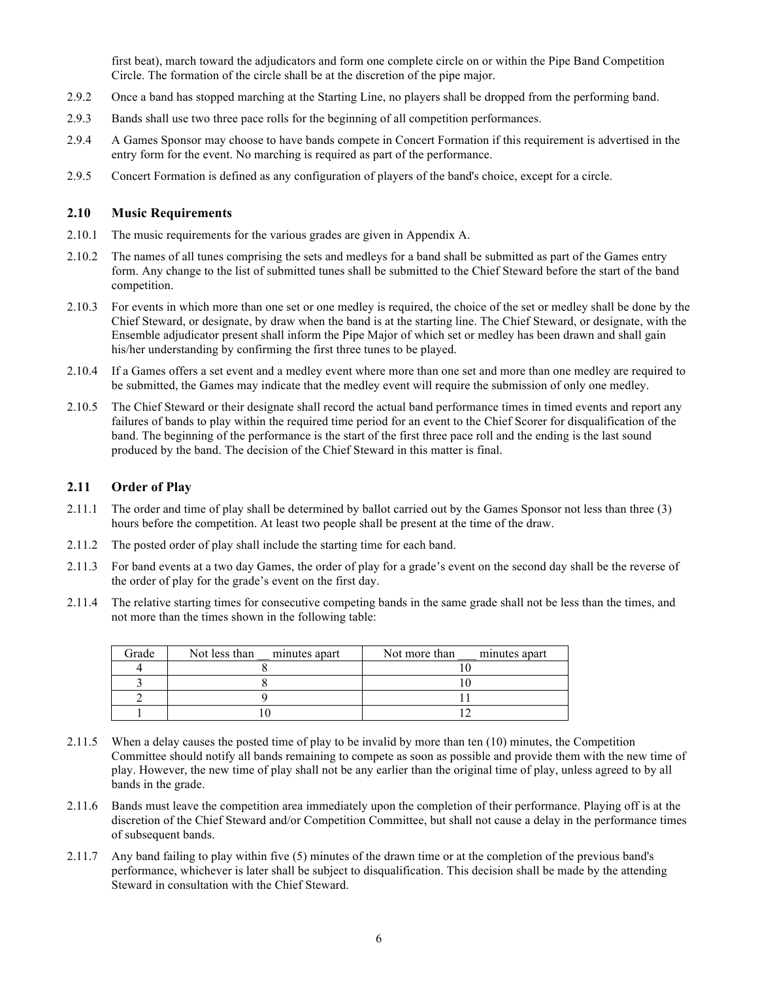first beat), march toward the adjudicators and form one complete circle on or within the Pipe Band Competition Circle. The formation of the circle shall be at the discretion of the pipe major.

- 2.9.2 Once a band has stopped marching at the Starting Line, no players shall be dropped from the performing band.
- 2.9.3 Bands shall use two three pace rolls for the beginning of all competition performances.
- 2.9.4 A Games Sponsor may choose to have bands compete in Concert Formation if this requirement is advertised in the entry form for the event. No marching is required as part of the performance.
- 2.9.5 Concert Formation is defined as any configuration of players of the band's choice, except for a circle.

#### **2.10 Music Requirements**

- 2.10.1 The music requirements for the various grades are given in Appendix A.
- 2.10.2 The names of all tunes comprising the sets and medleys for a band shall be submitted as part of the Games entry form. Any change to the list of submitted tunes shall be submitted to the Chief Steward before the start of the band competition.
- 2.10.3 For events in which more than one set or one medley is required, the choice of the set or medley shall be done by the Chief Steward, or designate, by draw when the band is at the starting line. The Chief Steward, or designate, with the Ensemble adjudicator present shall inform the Pipe Major of which set or medley has been drawn and shall gain his/her understanding by confirming the first three tunes to be played.
- 2.10.4 If a Games offers a set event and a medley event where more than one set and more than one medley are required to be submitted, the Games may indicate that the medley event will require the submission of only one medley.
- 2.10.5 The Chief Steward or their designate shall record the actual band performance times in timed events and report any failures of bands to play within the required time period for an event to the Chief Scorer for disqualification of the band. The beginning of the performance is the start of the first three pace roll and the ending is the last sound produced by the band. The decision of the Chief Steward in this matter is final.

#### **2.11 Order of Play**

- 2.11.1 The order and time of play shall be determined by ballot carried out by the Games Sponsor not less than three (3) hours before the competition. At least two people shall be present at the time of the draw.
- 2.11.2 The posted order of play shall include the starting time for each band.
- 2.11.3 For band events at a two day Games, the order of play for a grade's event on the second day shall be the reverse of the order of play for the grade's event on the first day.
- 2.11.4 The relative starting times for consecutive competing bands in the same grade shall not be less than the times, and not more than the times shown in the following table:

| Grade | Not less than minutes apart | Not more than<br>minutes apart |
|-------|-----------------------------|--------------------------------|
|       |                             |                                |
|       |                             |                                |
|       |                             |                                |
|       |                             |                                |

- 2.11.5 When a delay causes the posted time of play to be invalid by more than ten (10) minutes, the Competition Committee should notify all bands remaining to compete as soon as possible and provide them with the new time of play. However, the new time of play shall not be any earlier than the original time of play, unless agreed to by all bands in the grade.
- 2.11.6 Bands must leave the competition area immediately upon the completion of their performance. Playing off is at the discretion of the Chief Steward and/or Competition Committee, but shall not cause a delay in the performance times of subsequent bands.
- 2.11.7 Any band failing to play within five (5) minutes of the drawn time or at the completion of the previous band's performance, whichever is later shall be subject to disqualification. This decision shall be made by the attending Steward in consultation with the Chief Steward.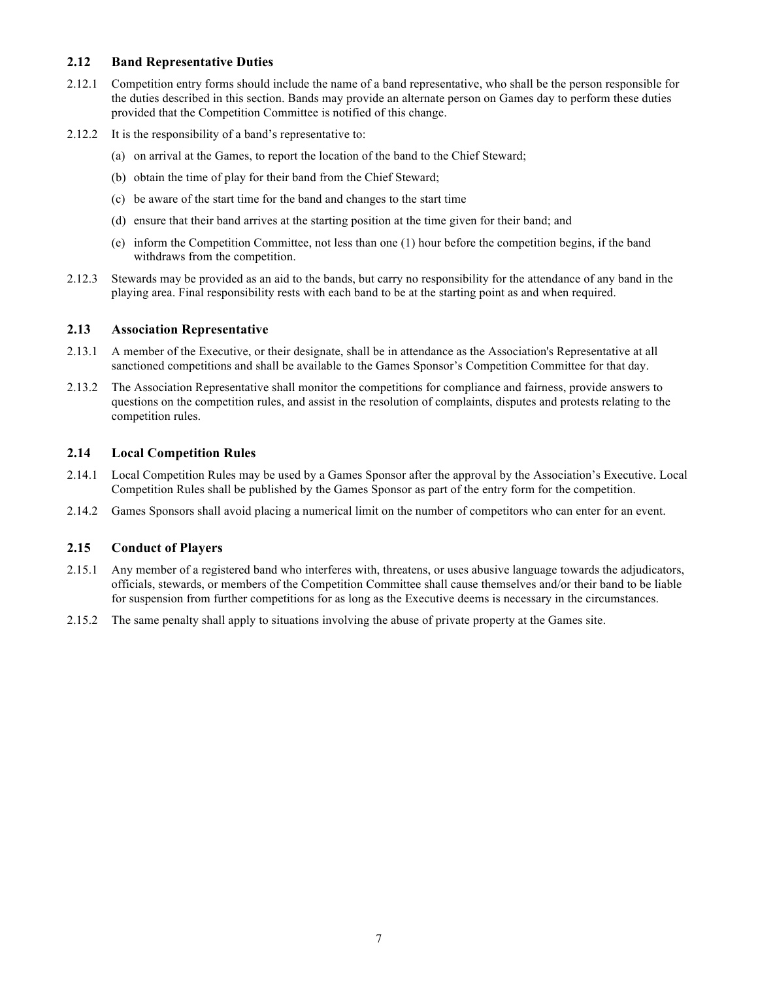#### **2.12 Band Representative Duties**

- 2.12.1 Competition entry forms should include the name of a band representative, who shall be the person responsible for the duties described in this section. Bands may provide an alternate person on Games day to perform these duties provided that the Competition Committee is notified of this change.
- 2.12.2 It is the responsibility of a band's representative to:
	- (a) on arrival at the Games, to report the location of the band to the Chief Steward;
	- (b) obtain the time of play for their band from the Chief Steward;
	- (c) be aware of the start time for the band and changes to the start time
	- (d) ensure that their band arrives at the starting position at the time given for their band; and
	- (e) inform the Competition Committee, not less than one (1) hour before the competition begins, if the band withdraws from the competition.
- 2.12.3 Stewards may be provided as an aid to the bands, but carry no responsibility for the attendance of any band in the playing area. Final responsibility rests with each band to be at the starting point as and when required.

#### **2.13 Association Representative**

- 2.13.1 A member of the Executive, or their designate, shall be in attendance as the Association's Representative at all sanctioned competitions and shall be available to the Games Sponsor's Competition Committee for that day.
- 2.13.2 The Association Representative shall monitor the competitions for compliance and fairness, provide answers to questions on the competition rules, and assist in the resolution of complaints, disputes and protests relating to the competition rules.

#### **2.14 Local Competition Rules**

- 2.14.1 Local Competition Rules may be used by a Games Sponsor after the approval by the Association's Executive. Local Competition Rules shall be published by the Games Sponsor as part of the entry form for the competition.
- 2.14.2 Games Sponsors shall avoid placing a numerical limit on the number of competitors who can enter for an event.

#### **2.15 Conduct of Players**

- 2.15.1 Any member of a registered band who interferes with, threatens, or uses abusive language towards the adjudicators, officials, stewards, or members of the Competition Committee shall cause themselves and/or their band to be liable for suspension from further competitions for as long as the Executive deems is necessary in the circumstances.
- 2.15.2 The same penalty shall apply to situations involving the abuse of private property at the Games site.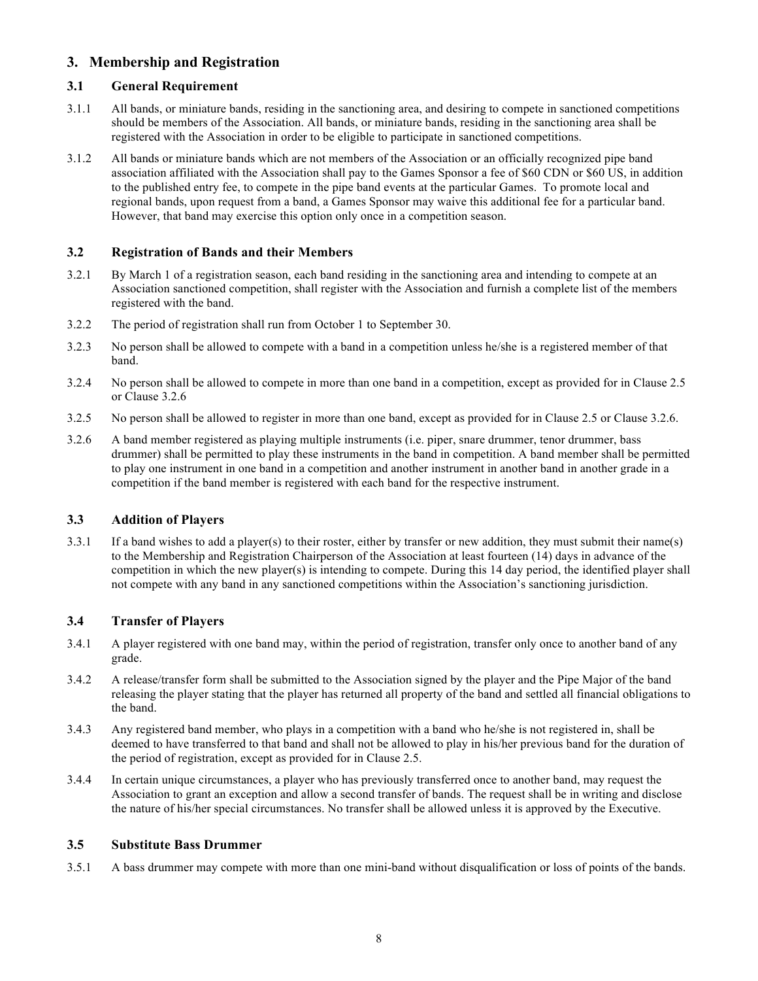# **3. Membership and Registration**

# **3.1 General Requirement**

- 3.1.1 All bands, or miniature bands, residing in the sanctioning area, and desiring to compete in sanctioned competitions should be members of the Association. All bands, or miniature bands, residing in the sanctioning area shall be registered with the Association in order to be eligible to participate in sanctioned competitions.
- 3.1.2 All bands or miniature bands which are not members of the Association or an officially recognized pipe band association affiliated with the Association shall pay to the Games Sponsor a fee of \$60 CDN or \$60 US, in addition to the published entry fee, to compete in the pipe band events at the particular Games. To promote local and regional bands, upon request from a band, a Games Sponsor may waive this additional fee for a particular band. However, that band may exercise this option only once in a competition season.

# **3.2 Registration of Bands and their Members**

- 3.2.1 By March 1 of a registration season, each band residing in the sanctioning area and intending to compete at an Association sanctioned competition, shall register with the Association and furnish a complete list of the members registered with the band.
- 3.2.2 The period of registration shall run from October 1 to September 30.
- 3.2.3 No person shall be allowed to compete with a band in a competition unless he/she is a registered member of that band.
- 3.2.4 No person shall be allowed to compete in more than one band in a competition, except as provided for in Clause 2.5 or Clause 3.2.6
- 3.2.5 No person shall be allowed to register in more than one band, except as provided for in Clause 2.5 or Clause 3.2.6.
- 3.2.6 A band member registered as playing multiple instruments (i.e. piper, snare drummer, tenor drummer, bass drummer) shall be permitted to play these instruments in the band in competition. A band member shall be permitted to play one instrument in one band in a competition and another instrument in another band in another grade in a competition if the band member is registered with each band for the respective instrument.

# **3.3 Addition of Players**

3.3.1 If a band wishes to add a player(s) to their roster, either by transfer or new addition, they must submit their name(s) to the Membership and Registration Chairperson of the Association at least fourteen (14) days in advance of the competition in which the new player(s) is intending to compete. During this 14 day period, the identified player shall not compete with any band in any sanctioned competitions within the Association's sanctioning jurisdiction.

# **3.4 Transfer of Players**

- 3.4.1 A player registered with one band may, within the period of registration, transfer only once to another band of any grade.
- 3.4.2 A release/transfer form shall be submitted to the Association signed by the player and the Pipe Major of the band releasing the player stating that the player has returned all property of the band and settled all financial obligations to the band.
- 3.4.3 Any registered band member, who plays in a competition with a band who he/she is not registered in, shall be deemed to have transferred to that band and shall not be allowed to play in his/her previous band for the duration of the period of registration, except as provided for in Clause 2.5.
- 3.4.4 In certain unique circumstances, a player who has previously transferred once to another band, may request the Association to grant an exception and allow a second transfer of bands. The request shall be in writing and disclose the nature of his/her special circumstances. No transfer shall be allowed unless it is approved by the Executive.

# **3.5 Substitute Bass Drummer**

3.5.1 A bass drummer may compete with more than one mini-band without disqualification or loss of points of the bands.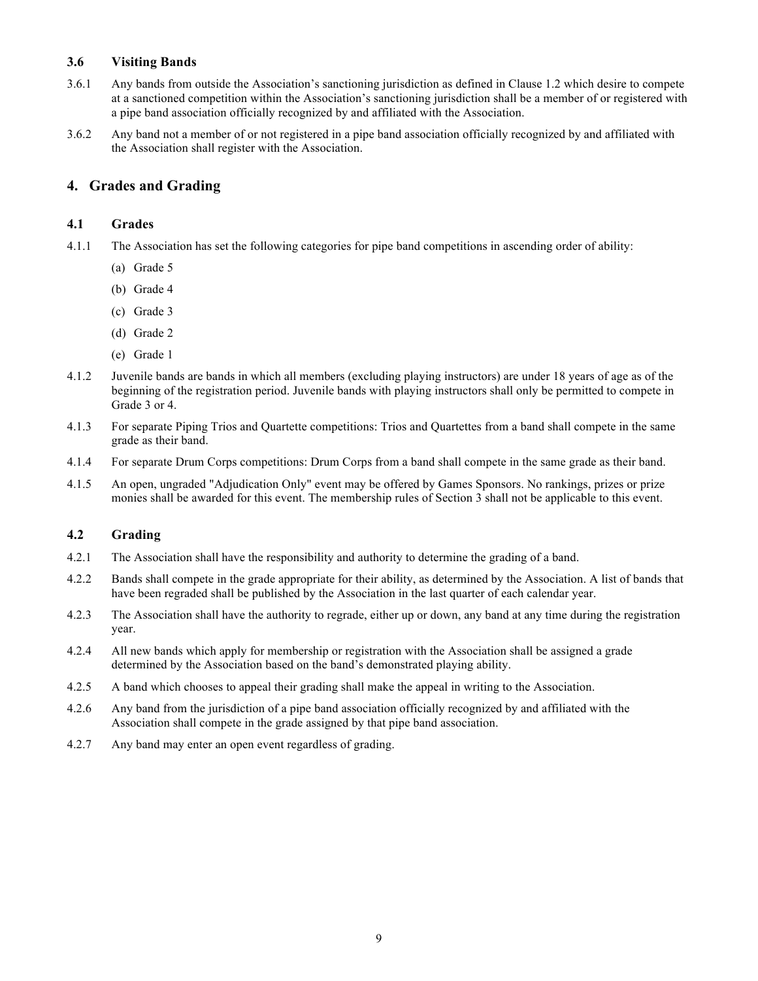#### **3.6 Visiting Bands**

- 3.6.1 Any bands from outside the Association's sanctioning jurisdiction as defined in Clause 1.2 which desire to compete at a sanctioned competition within the Association's sanctioning jurisdiction shall be a member of or registered with a pipe band association officially recognized by and affiliated with the Association.
- 3.6.2 Any band not a member of or not registered in a pipe band association officially recognized by and affiliated with the Association shall register with the Association.

# **4. Grades and Grading**

#### **4.1 Grades**

- 4.1.1 The Association has set the following categories for pipe band competitions in ascending order of ability:
	- (a) Grade 5
	- (b) Grade 4
	- (c) Grade 3
	- (d) Grade 2
	- (e) Grade 1
- 4.1.2 Juvenile bands are bands in which all members (excluding playing instructors) are under 18 years of age as of the beginning of the registration period. Juvenile bands with playing instructors shall only be permitted to compete in Grade 3 or 4.
- 4.1.3 For separate Piping Trios and Quartette competitions: Trios and Quartettes from a band shall compete in the same grade as their band.
- 4.1.4 For separate Drum Corps competitions: Drum Corps from a band shall compete in the same grade as their band.
- 4.1.5 An open, ungraded "Adjudication Only" event may be offered by Games Sponsors. No rankings, prizes or prize monies shall be awarded for this event. The membership rules of Section 3 shall not be applicable to this event.

# **4.2 Grading**

- 4.2.1 The Association shall have the responsibility and authority to determine the grading of a band.
- 4.2.2 Bands shall compete in the grade appropriate for their ability, as determined by the Association. A list of bands that have been regraded shall be published by the Association in the last quarter of each calendar year.
- 4.2.3 The Association shall have the authority to regrade, either up or down, any band at any time during the registration year.
- 4.2.4 All new bands which apply for membership or registration with the Association shall be assigned a grade determined by the Association based on the band's demonstrated playing ability.
- 4.2.5 A band which chooses to appeal their grading shall make the appeal in writing to the Association.
- 4.2.6 Any band from the jurisdiction of a pipe band association officially recognized by and affiliated with the Association shall compete in the grade assigned by that pipe band association.
- 4.2.7 Any band may enter an open event regardless of grading.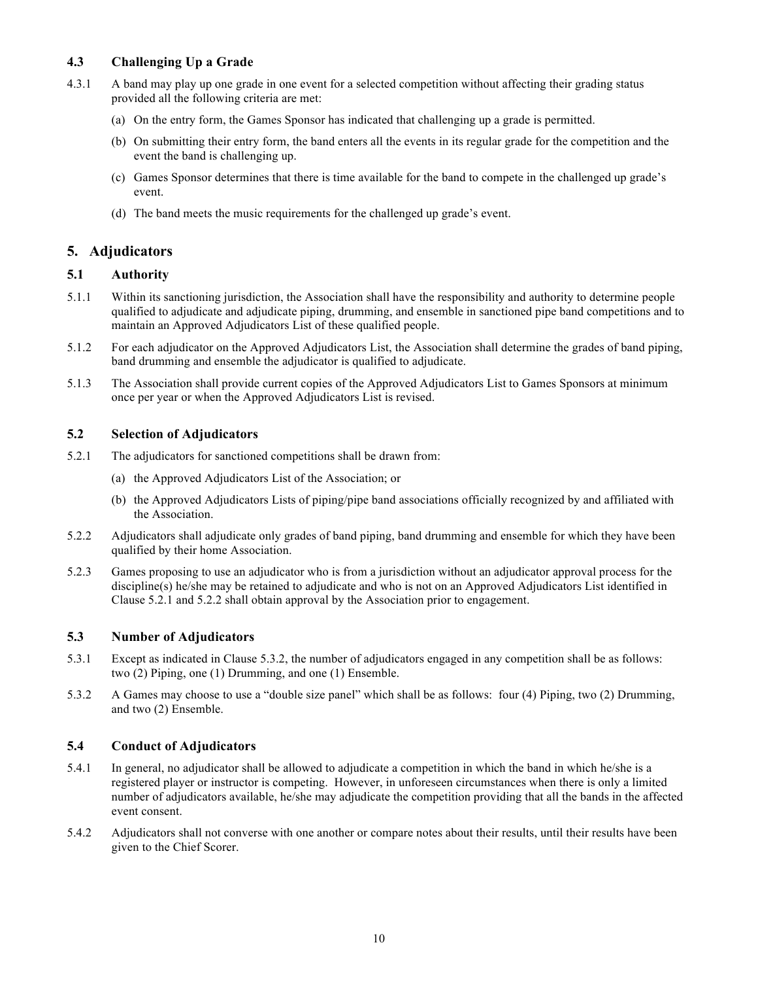# **4.3 Challenging Up a Grade**

- 4.3.1 A band may play up one grade in one event for a selected competition without affecting their grading status provided all the following criteria are met:
	- (a) On the entry form, the Games Sponsor has indicated that challenging up a grade is permitted.
	- (b) On submitting their entry form, the band enters all the events in its regular grade for the competition and the event the band is challenging up.
	- (c) Games Sponsor determines that there is time available for the band to compete in the challenged up grade's event.
	- (d) The band meets the music requirements for the challenged up grade's event.

# **5. Adjudicators**

#### **5.1 Authority**

- 5.1.1 Within its sanctioning jurisdiction, the Association shall have the responsibility and authority to determine people qualified to adjudicate and adjudicate piping, drumming, and ensemble in sanctioned pipe band competitions and to maintain an Approved Adjudicators List of these qualified people.
- 5.1.2 For each adjudicator on the Approved Adjudicators List, the Association shall determine the grades of band piping, band drumming and ensemble the adjudicator is qualified to adjudicate.
- 5.1.3 The Association shall provide current copies of the Approved Adjudicators List to Games Sponsors at minimum once per year or when the Approved Adjudicators List is revised.

#### **5.2 Selection of Adjudicators**

- 5.2.1 The adjudicators for sanctioned competitions shall be drawn from:
	- (a) the Approved Adjudicators List of the Association; or
	- (b) the Approved Adjudicators Lists of piping/pipe band associations officially recognized by and affiliated with the Association.
- 5.2.2 Adjudicators shall adjudicate only grades of band piping, band drumming and ensemble for which they have been qualified by their home Association.
- 5.2.3 Games proposing to use an adjudicator who is from a jurisdiction without an adjudicator approval process for the discipline(s) he/she may be retained to adjudicate and who is not on an Approved Adjudicators List identified in Clause 5.2.1 and 5.2.2 shall obtain approval by the Association prior to engagement.

#### **5.3 Number of Adjudicators**

- 5.3.1 Except as indicated in Clause 5.3.2, the number of adjudicators engaged in any competition shall be as follows: two (2) Piping, one (1) Drumming, and one (1) Ensemble.
- 5.3.2 A Games may choose to use a "double size panel" which shall be as follows: four (4) Piping, two (2) Drumming, and two (2) Ensemble.

# **5.4 Conduct of Adjudicators**

- 5.4.1 In general, no adjudicator shall be allowed to adjudicate a competition in which the band in which he/she is a registered player or instructor is competing. However, in unforeseen circumstances when there is only a limited number of adjudicators available, he/she may adjudicate the competition providing that all the bands in the affected event consent.
- 5.4.2 Adjudicators shall not converse with one another or compare notes about their results, until their results have been given to the Chief Scorer.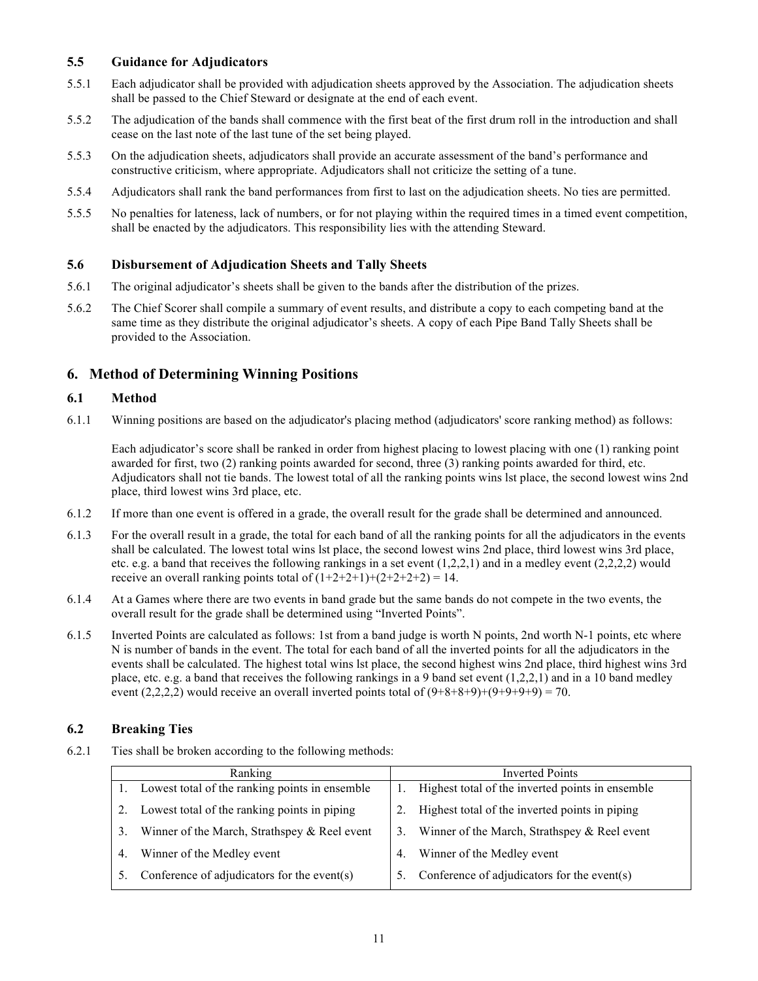#### **5.5 Guidance for Adjudicators**

- 5.5.1 Each adjudicator shall be provided with adjudication sheets approved by the Association. The adjudication sheets shall be passed to the Chief Steward or designate at the end of each event.
- 5.5.2 The adjudication of the bands shall commence with the first beat of the first drum roll in the introduction and shall cease on the last note of the last tune of the set being played.
- 5.5.3 On the adjudication sheets, adjudicators shall provide an accurate assessment of the band's performance and constructive criticism, where appropriate. Adjudicators shall not criticize the setting of a tune.
- 5.5.4 Adjudicators shall rank the band performances from first to last on the adjudication sheets. No ties are permitted.
- 5.5.5 No penalties for lateness, lack of numbers, or for not playing within the required times in a timed event competition, shall be enacted by the adjudicators. This responsibility lies with the attending Steward.

#### **5.6 Disbursement of Adjudication Sheets and Tally Sheets**

- 5.6.1 The original adjudicator's sheets shall be given to the bands after the distribution of the prizes.
- 5.6.2 The Chief Scorer shall compile a summary of event results, and distribute a copy to each competing band at the same time as they distribute the original adjudicator's sheets. A copy of each Pipe Band Tally Sheets shall be provided to the Association.

# **6. Method of Determining Winning Positions**

#### **6.1 Method**

6.1.1 Winning positions are based on the adjudicator's placing method (adjudicators' score ranking method) as follows:

Each adjudicator's score shall be ranked in order from highest placing to lowest placing with one (1) ranking point awarded for first, two (2) ranking points awarded for second, three (3) ranking points awarded for third, etc. Adjudicators shall not tie bands. The lowest total of all the ranking points wins lst place, the second lowest wins 2nd place, third lowest wins 3rd place, etc.

- 6.1.2 If more than one event is offered in a grade, the overall result for the grade shall be determined and announced.
- 6.1.3 For the overall result in a grade, the total for each band of all the ranking points for all the adjudicators in the events shall be calculated. The lowest total wins lst place, the second lowest wins 2nd place, third lowest wins 3rd place, etc. e.g. a band that receives the following rankings in a set event  $(1,2,2,1)$  and in a medley event  $(2,2,2,2)$  would receive an overall ranking points total of  $(1+2+2+1)+(2+2+2+2) = 14$ .
- 6.1.4 At a Games where there are two events in band grade but the same bands do not compete in the two events, the overall result for the grade shall be determined using "Inverted Points".
- 6.1.5 Inverted Points are calculated as follows: 1st from a band judge is worth N points, 2nd worth N-1 points, etc where N is number of bands in the event. The total for each band of all the inverted points for all the adjudicators in the events shall be calculated. The highest total wins lst place, the second highest wins 2nd place, third highest wins 3rd place, etc. e.g. a band that receives the following rankings in a 9 band set event (1,2,2,1) and in a 10 band medley event  $(2,2,2,2)$  would receive an overall inverted points total of  $(9+8+8+9)+(9+9+9+9) = 70$ .

# **6.2 Breaking Ties**

6.2.1 Ties shall be broken according to the following methods:

| Ranking |                                                | <b>Inverted Points</b> |                                                  |
|---------|------------------------------------------------|------------------------|--------------------------------------------------|
|         | Lowest total of the ranking points in ensemble |                        | Highest total of the inverted points in ensemble |
| 2.      | Lowest total of the ranking points in piping   | 2.                     | Highest total of the inverted points in piping   |
| 3.      | Winner of the March, Strathspey & Reel event   | 3.                     | Winner of the March, Strathspey & Reel event     |
| 4.      | Winner of the Medley event                     | 4.                     | Winner of the Medley event                       |
| 5.      | Conference of adjudicators for the event(s)    |                        | Conference of adjudicators for the event(s)      |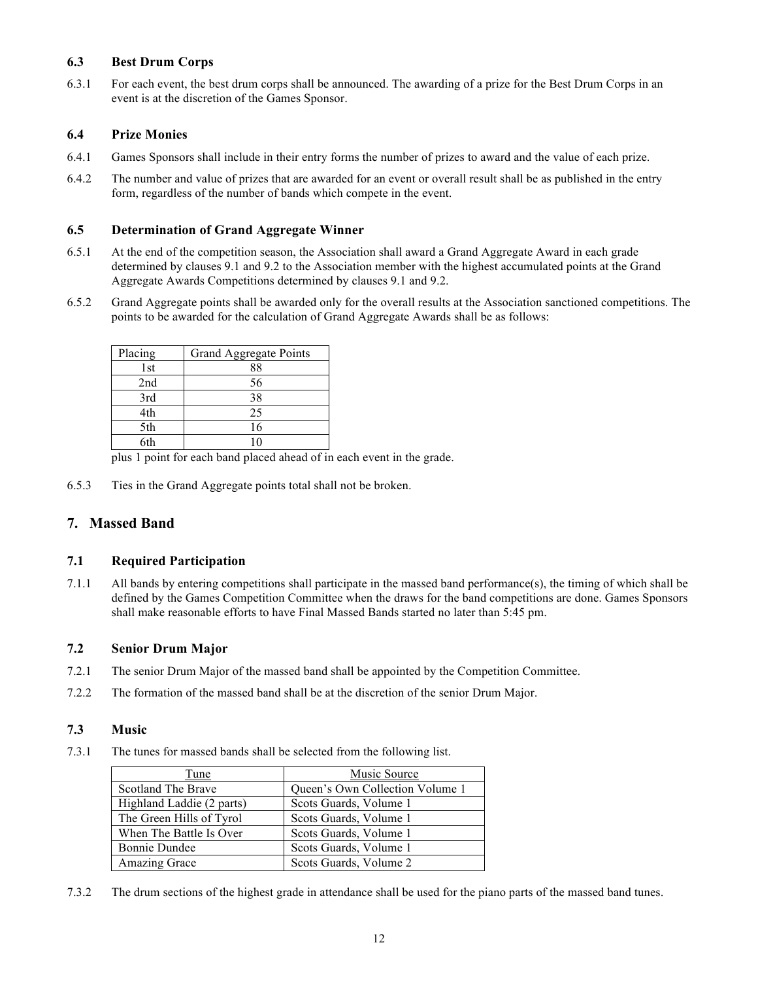### **6.3 Best Drum Corps**

6.3.1 For each event, the best drum corps shall be announced. The awarding of a prize for the Best Drum Corps in an event is at the discretion of the Games Sponsor.

#### **6.4 Prize Monies**

- 6.4.1 Games Sponsors shall include in their entry forms the number of prizes to award and the value of each prize.
- 6.4.2 The number and value of prizes that are awarded for an event or overall result shall be as published in the entry form, regardless of the number of bands which compete in the event.

#### **6.5 Determination of Grand Aggregate Winner**

- 6.5.1 At the end of the competition season, the Association shall award a Grand Aggregate Award in each grade determined by clauses 9.1 and 9.2 to the Association member with the highest accumulated points at the Grand Aggregate Awards Competitions determined by clauses 9.1 and 9.2.
- 6.5.2 Grand Aggregate points shall be awarded only for the overall results at the Association sanctioned competitions. The points to be awarded for the calculation of Grand Aggregate Awards shall be as follows:

| Placing | Grand Aggregate Points |
|---------|------------------------|
| 1st     | 88                     |
| 2nd     | 56                     |
| 3rd     | 38                     |
| 4th     | 25                     |
| 5th     | 16                     |
| 6th     |                        |

plus 1 point for each band placed ahead of in each event in the grade.

6.5.3 Ties in the Grand Aggregate points total shall not be broken.

# **7. Massed Band**

#### **7.1 Required Participation**

7.1.1 All bands by entering competitions shall participate in the massed band performance(s), the timing of which shall be defined by the Games Competition Committee when the draws for the band competitions are done. Games Sponsors shall make reasonable efforts to have Final Massed Bands started no later than 5:45 pm.

#### **7.2 Senior Drum Major**

- 7.2.1 The senior Drum Major of the massed band shall be appointed by the Competition Committee.
- 7.2.2 The formation of the massed band shall be at the discretion of the senior Drum Major.

#### **7.3 Music**

7.3.1 The tunes for massed bands shall be selected from the following list.

| Tune                      | <b>Music Source</b>             |
|---------------------------|---------------------------------|
| Scotland The Brave        | Queen's Own Collection Volume 1 |
| Highland Laddie (2 parts) | Scots Guards, Volume 1          |
| The Green Hills of Tyrol  | Scots Guards, Volume 1          |
| When The Battle Is Over   | Scots Guards, Volume 1          |
| <b>Bonnie Dundee</b>      | Scots Guards, Volume 1          |
| Amazing Grace             | Scots Guards, Volume 2          |

7.3.2 The drum sections of the highest grade in attendance shall be used for the piano parts of the massed band tunes.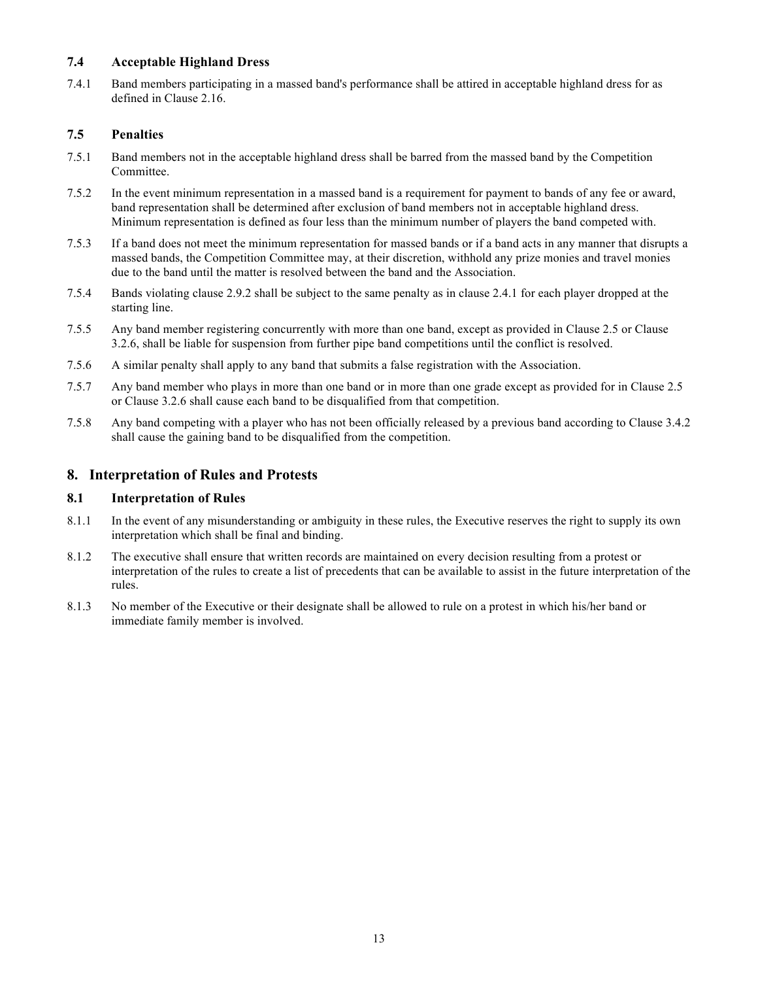# **7.4 Acceptable Highland Dress**

7.4.1 Band members participating in a massed band's performance shall be attired in acceptable highland dress for as defined in Clause 2.16.

# **7.5 Penalties**

- 7.5.1 Band members not in the acceptable highland dress shall be barred from the massed band by the Competition Committee.
- 7.5.2 In the event minimum representation in a massed band is a requirement for payment to bands of any fee or award, band representation shall be determined after exclusion of band members not in acceptable highland dress. Minimum representation is defined as four less than the minimum number of players the band competed with.
- 7.5.3 If a band does not meet the minimum representation for massed bands or if a band acts in any manner that disrupts a massed bands, the Competition Committee may, at their discretion, withhold any prize monies and travel monies due to the band until the matter is resolved between the band and the Association.
- 7.5.4 Bands violating clause 2.9.2 shall be subject to the same penalty as in clause 2.4.1 for each player dropped at the starting line.
- 7.5.5 Any band member registering concurrently with more than one band, except as provided in Clause 2.5 or Clause 3.2.6, shall be liable for suspension from further pipe band competitions until the conflict is resolved.
- 7.5.6 A similar penalty shall apply to any band that submits a false registration with the Association.
- 7.5.7 Any band member who plays in more than one band or in more than one grade except as provided for in Clause 2.5 or Clause 3.2.6 shall cause each band to be disqualified from that competition.
- 7.5.8 Any band competing with a player who has not been officially released by a previous band according to Clause 3.4.2 shall cause the gaining band to be disqualified from the competition.

# **8. Interpretation of Rules and Protests**

#### **8.1 Interpretation of Rules**

- 8.1.1 In the event of any misunderstanding or ambiguity in these rules, the Executive reserves the right to supply its own interpretation which shall be final and binding.
- 8.1.2 The executive shall ensure that written records are maintained on every decision resulting from a protest or interpretation of the rules to create a list of precedents that can be available to assist in the future interpretation of the rules.
- 8.1.3 No member of the Executive or their designate shall be allowed to rule on a protest in which his/her band or immediate family member is involved.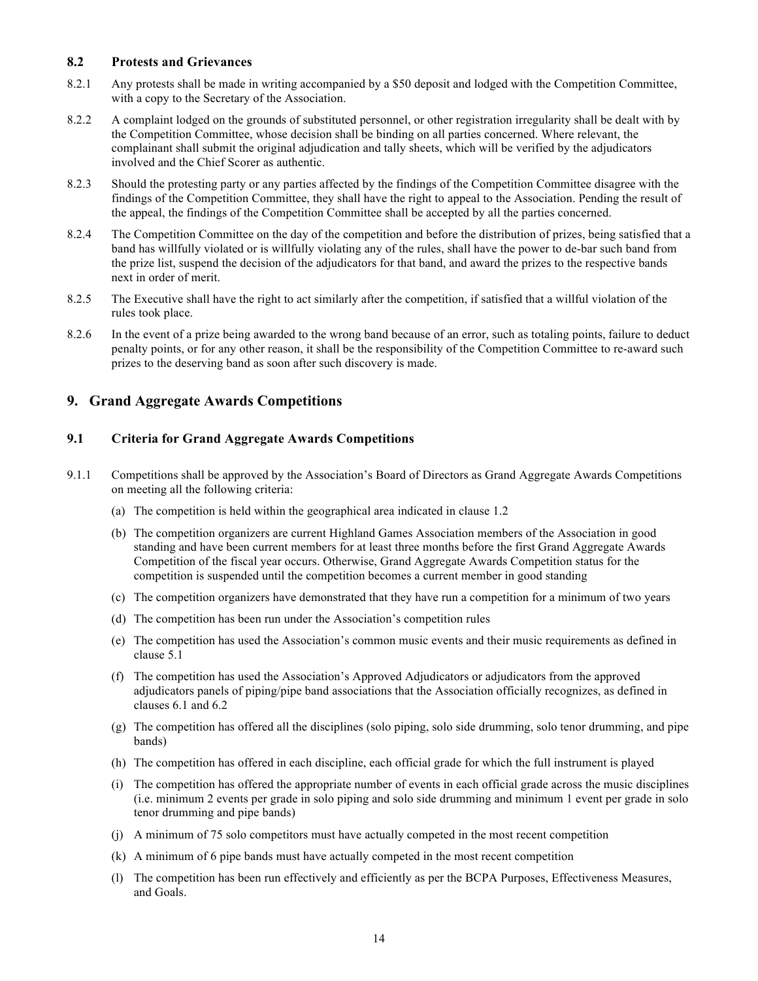#### **8.2 Protests and Grievances**

- 8.2.1 Any protests shall be made in writing accompanied by a \$50 deposit and lodged with the Competition Committee, with a copy to the Secretary of the Association.
- 8.2.2 A complaint lodged on the grounds of substituted personnel, or other registration irregularity shall be dealt with by the Competition Committee, whose decision shall be binding on all parties concerned. Where relevant, the complainant shall submit the original adjudication and tally sheets, which will be verified by the adjudicators involved and the Chief Scorer as authentic.
- 8.2.3 Should the protesting party or any parties affected by the findings of the Competition Committee disagree with the findings of the Competition Committee, they shall have the right to appeal to the Association. Pending the result of the appeal, the findings of the Competition Committee shall be accepted by all the parties concerned.
- 8.2.4 The Competition Committee on the day of the competition and before the distribution of prizes, being satisfied that a band has willfully violated or is willfully violating any of the rules, shall have the power to de-bar such band from the prize list, suspend the decision of the adjudicators for that band, and award the prizes to the respective bands next in order of merit.
- 8.2.5 The Executive shall have the right to act similarly after the competition, if satisfied that a willful violation of the rules took place.
- 8.2.6 In the event of a prize being awarded to the wrong band because of an error, such as totaling points, failure to deduct penalty points, or for any other reason, it shall be the responsibility of the Competition Committee to re-award such prizes to the deserving band as soon after such discovery is made.

# **9. Grand Aggregate Awards Competitions**

#### **9.1 Criteria for Grand Aggregate Awards Competitions**

- 9.1.1 Competitions shall be approved by the Association's Board of Directors as Grand Aggregate Awards Competitions on meeting all the following criteria:
	- (a) The competition is held within the geographical area indicated in clause 1.2
	- (b) The competition organizers are current Highland Games Association members of the Association in good standing and have been current members for at least three months before the first Grand Aggregate Awards Competition of the fiscal year occurs. Otherwise, Grand Aggregate Awards Competition status for the competition is suspended until the competition becomes a current member in good standing
	- (c) The competition organizers have demonstrated that they have run a competition for a minimum of two years
	- (d) The competition has been run under the Association's competition rules
	- (e) The competition has used the Association's common music events and their music requirements as defined in clause 5.1
	- (f) The competition has used the Association's Approved Adjudicators or adjudicators from the approved adjudicators panels of piping/pipe band associations that the Association officially recognizes, as defined in clauses 6.1 and 6.2
	- (g) The competition has offered all the disciplines (solo piping, solo side drumming, solo tenor drumming, and pipe bands)
	- (h) The competition has offered in each discipline, each official grade for which the full instrument is played
	- (i) The competition has offered the appropriate number of events in each official grade across the music disciplines (i.e. minimum 2 events per grade in solo piping and solo side drumming and minimum 1 event per grade in solo tenor drumming and pipe bands)
	- (j) A minimum of 75 solo competitors must have actually competed in the most recent competition
	- (k) A minimum of 6 pipe bands must have actually competed in the most recent competition
	- (l) The competition has been run effectively and efficiently as per the BCPA Purposes, Effectiveness Measures, and Goals.